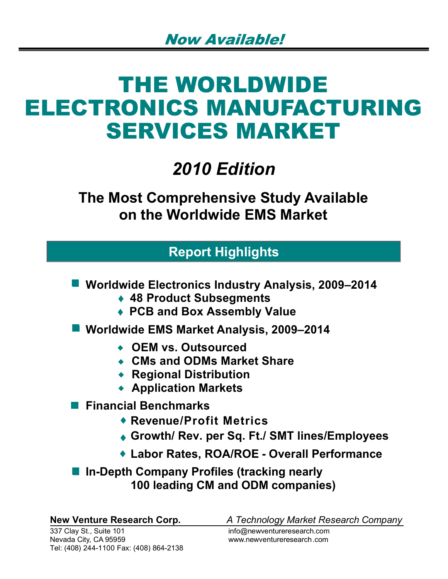# THE WORLDWIDE ELECTRONICS MANUFACTURING SERVICES MARKET

## *2010 Edition*

**The Most Comprehensive Study Available on the Worldwide EMS Market**

## **Report Highlights**

**Worldwide Electronics Industry Analysis, 2009–2014** 

- **48 Product Subsegments**
- **PCB and Box Assembly Value**
- **Worldwide EMS Market Analysis, 2009–2014** 
	- **OEM vs. Outsourced**
	- **CMs and ODMs Market Share**
	- **Regional Distribution**
	- **Application Markets**
- **Financial Benchmarks** 
	- **Revenue/Profit Metrics**
	- **Growth/ Rev. per Sq. Ft./ SMT lines/Employees**
	- ◆ Labor Rates, ROA/ROE Overall Performance

■ In-Depth Company Profiles (tracking nearly **100 leading CM and ODM companies)**

**New Venture Research Corp.** *A Technology Market Research Company*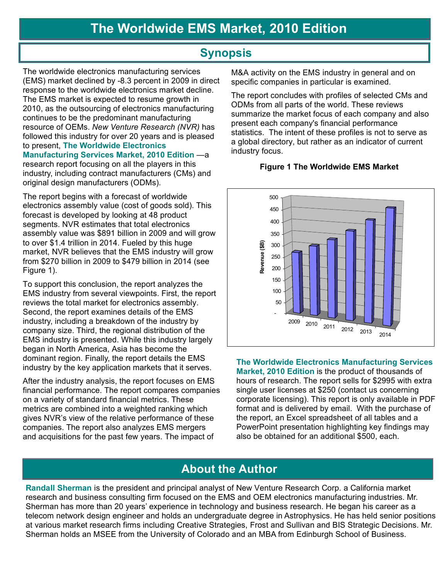### **Synopsis**

The worldwide electronics manufacturing services (EMS) market declined by -8.3 percent in 2009 in direct response to the worldwide electronics market decline. The EMS market is expected to resume growth in 2010, as the outsourcing of electronics manufacturing continues to be the predominant manufacturing resource of OEMs. *New Venture Research (NVR)* has followed this industry for over 20 years and is pleased to present, **The Worldwide Electronics Manufacturing Services Market, 2010 Edition** —a research report focusing on all the players in this industry, including contract manufacturers (CMs) and original design manufacturers (ODMs).

The report begins with a forecast of worldwide electronics assembly value (cost of goods sold). This forecast is developed by looking at 48 product segments. NVR estimates that total electronics assembly value was \$891 billion in 2009 and will grow to over \$1.4 trillion in 2014. Fueled by this huge market, NVR believes that the EMS industry will grow from \$270 billion in 2009 to \$479 billion in 2014 (see Figure 1).

To support this conclusion, the report analyzes the EMS industry from several viewpoints. First, the report reviews the total market for electronics assembly. Second, the report examines details of the EMS industry, including a breakdown of the industry by company size. Third, the regional distribution of the EMS industry is presented. While this industry largely began in North America, Asia has become the dominant region. Finally, the report details the EMS industry by the key application markets that it serves.

After the industry analysis, the report focuses on EMS financial performance. The report compares companies on a variety of standard financial metrics. These metrics are combined into a weighted ranking which gives NVR's view of the relative performance of these companies. The report also analyzes EMS mergers and acquisitions for the past few years. The impact of

 M&A activity on the EMS industry in general and on specific companies in particular is examined.

The report concludes with profiles of selected CMs and ODMs from all parts of the world. These reviews summarize the market focus of each company and also present each company's financial performance statistics. The intent of these profiles is not to serve as a global directory, but rather as an indicator of current industry focus.

#### **Figure 1 The Worldwide EMS Market**



**The Worldwide Electronics Manufacturing Services Market, 2010 Edition** is the product of thousands of hours of research. The report sells for \$2995 with extra single user licenses at \$250 (contact us concerning corporate licensing). This report is only available in PDF format and is delivered by email. With the purchase of the report, an Excel spreadsheet of all tables and a PowerPoint presentation highlighting key findings may also be obtained for an additional \$500, each.

## **About the Author**

**Randall Sherman** is the president and principal analyst of New Venture Research Corp. a California market research and business consulting firm focused on the EMS and OEM electronics manufacturing industries. Mr. Sherman has more than 20 years' experience in technology and business research. He began his career as a telecom network design engineer and holds an undergraduate degree in Astrophysics. He has held senior positions at various market research firms including Creative Strategies, Frost and Sullivan and BIS Strategic Decisions. Mr. Sherman holds an MSEE from the University of Colorado and an MBA from Edinburgh School of Business.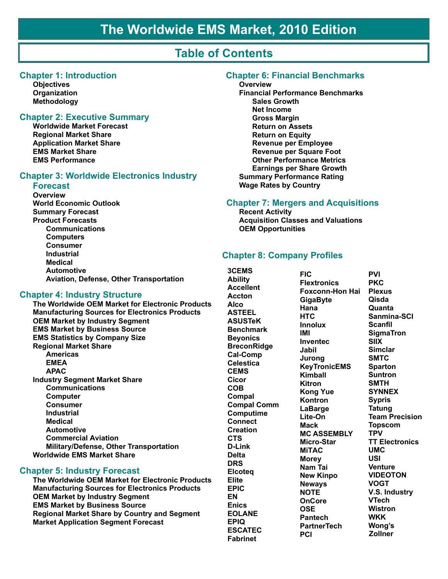## **Table of Contents**

#### **Chapter 1: Introduction**

**Objectives** Organization **Methodology** 

#### **Chapter 2: Executive Summary**

**Worldwide Market Forecast Regional Market Share Application Market Share EMS Market Share EMS Performance** 

#### **Chapter 3: Worldwide Electronics Industry**

#### **Forecast**

Overview **World Economic Outlook Summary Forecast Product Forecasts Communications Computers Consumer Industrial Medical Automotive** Aviation, Defense, Other Transportation

#### **Chapter 4: Industry Structure**

The Worldwide OEM Market for Electronic Products **Manufacturing Sources for Electronics Products OEM Market by Industry Segment EMS Market by Business Source EMS Statistics by Company Size Regional Market Share** Americas **EMEA APAC Industry Segment Market Share Communications Computer Consumer Industrial Medical Automotive Commercial Aviation** Military/Defense, Other Transportation **Worldwide EMS Market Share** 

#### **Chapter 5: Industry Forecast**

The Worldwide OEM Market for Electronic Products **Manufacturing Sources for Electronics Products OEM Market by Industry Segment EMS Market by Business Source Regional Market Share by Country and Segment Market Application Segment Forecast** 

#### **Chapter 6: Financial Benchmarks**

#### Overview

**Financial Performance Benchmarks Sales Growth Net Income Gross Margin Return on Assets Return on Equity Revenue per Employee Revenue per Square Foot Other Performance Metrics Earnings per Share Growth Summary Performance Rating Wage Rates by Country** 

#### **Chapter 7: Mergers and Acquisitions**

**Recent Activity Acquisition Classes and Valuations OEM Opportunities** 

#### **Chapter 8: Company Profiles**

3CEMS **Ability Accellent Accton Alco ASTEEL ASUSTeK Benchmark Beyonics BreconRidge Cal-Comp Celestica CEMS** Cicor **COB** Compal **Compal Comm Computime Connect Creation CTS** D-Link **Delta DRS Elcoteg Elite EPIC EN Enics EOLANE EPIQ ESCATEC Fabrinet** 

**FIC Flextronics Foxconn-Hon Hai GigaByte** Hana **HTC Innolux IMI Inventec Jabil Jurong KeyTronicEMS** Kimball **Kitron Kong Yue** Kontron LaBarge Lite-On **Mack MC ASSEMBLY** Micro-Star **MITAC Morey** Nam Tai **New Kinpo Neways NOTE OnCore OSE Pantech PartnerTech PCI** 

**PVI PKC Plexus Oisda** Quanta Sanmina-SCI **Scanfil SigmaTron SIIX Simclar SMTC Sparton Suntron SMTH SYNNEX Sypris Tatung Team Precision Topscom TPV TT Electronics UMC USI Venture VIDEOTON VOGT** V.S. Industry **VTech Wistron WKK** Wona's **Zollner**